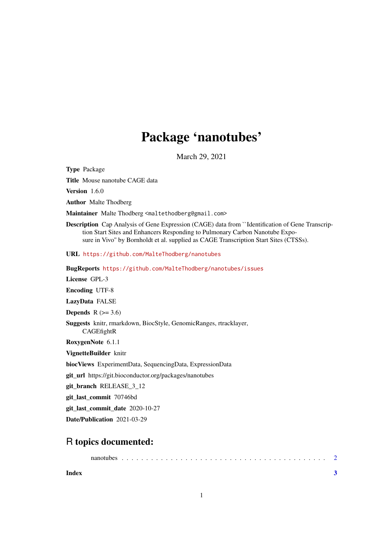## Package 'nanotubes'

March 29, 2021

Type Package

Title Mouse nanotube CAGE data

Version 1.6.0

Author Malte Thodberg

Maintainer Malte Thodberg <maltethodberg@gmail.com>

Description Cap Analysis of Gene Expression (CAGE) data from ``Identification of Gene Transcription Start Sites and Enhancers Responding to Pulmonary Carbon Nanotube Exposure in Vivo'' by Bornholdt et al. supplied as CAGE Transcription Start Sites (CTSSs).

URL <https://github.com/MalteThodberg/nanotubes>

BugReports <https://github.com/MalteThodberg/nanotubes/issues>

License GPL-3

Encoding UTF-8

LazyData FALSE

Depends  $R$  ( $>= 3.6$ )

Suggests knitr, rmarkdown, BiocStyle, GenomicRanges, rtracklayer, **CAGEfightR** 

RoxygenNote 6.1.1

VignetteBuilder knitr

biocViews ExperimentData, SequencingData, ExpressionData

git\_url https://git.bioconductor.org/packages/nanotubes

git\_branch RELEASE\_3\_12

git\_last\_commit 70746bd

git last commit date 2020-10-27

Date/Publication 2021-03-29

### R topics documented:

nanotubes . . . . . . . . . . . . . . . . . . . . . . . . . . . . . . . . . . . . . . . . . . [2](#page-1-0)

**Index** [3](#page-2-0)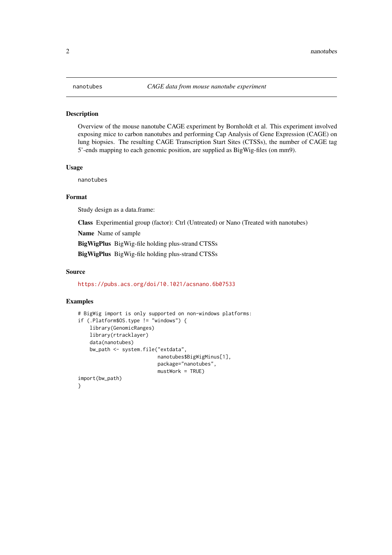#### <span id="page-1-0"></span>Description

Overview of the mouse nanotube CAGE experiment by Bornholdt et al. This experiment involved exposing mice to carbon nanotubes and performing Cap Analysis of Gene Expression (CAGE) on lung biopsies. The resulting CAGE Transcription Start Sites (CTSSs), the number of CAGE tag 5'-ends mapping to each genomic position, are supplied as BigWig-files (on mm9).

#### Usage

nanotubes

#### Format

Study design as a data.frame:

Class Experimential group (factor): Ctrl (Untreated) or Nano (Treated with nanotubes)

Name Name of sample

BigWigPlus BigWig-file holding plus-strand CTSSs

BigWigPlus BigWig-file holding plus-strand CTSSs

#### Source

<https://pubs.acs.org/doi/10.1021/acsnano.6b07533>

#### Examples

```
# BigWig import is only supported on non-windows platforms:
if (.Platform$OS.type != "windows") {
   library(GenomicRanges)
    library(rtracklayer)
    data(nanotubes)
    bw_path <- system.file("extdata",
                           nanotubes$BigWigMinus[1],
                           package="nanotubes",
                           mustWork = TRUE)
import(bw_path)
}
```